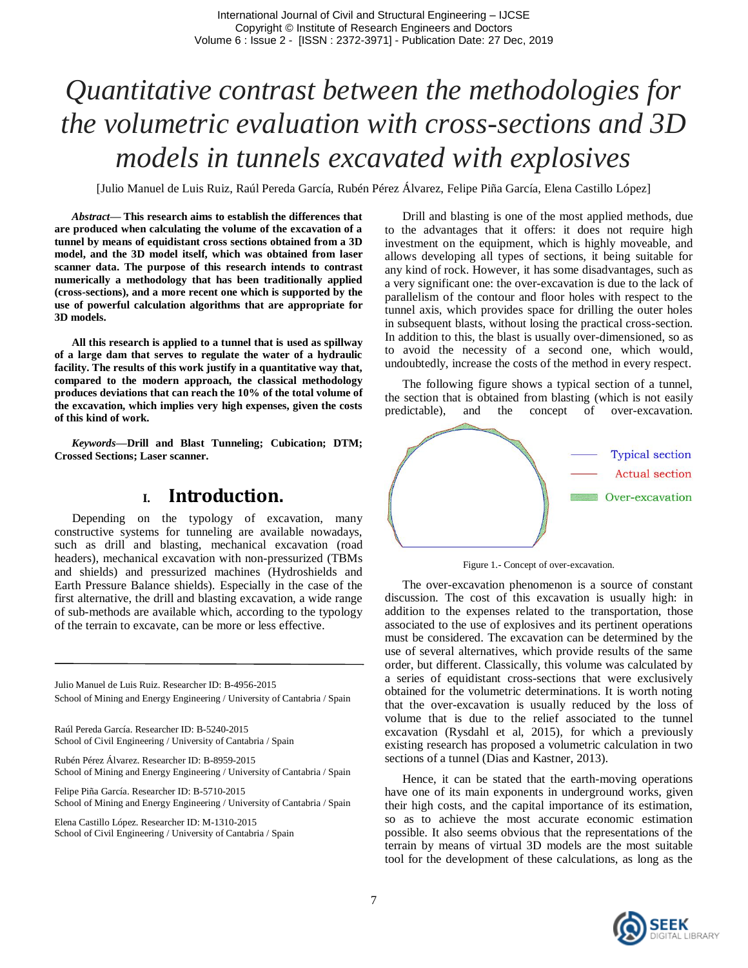# *Quantitative contrast between the methodologies for the volumetric evaluation with cross-sections and 3D models in tunnels excavated with explosives*

[Julio Manuel de Luis Ruiz, Raúl Pereda García, Rubén Pérez Álvarez, Felipe Piña García, Elena Castillo López]

*Abstract***— This research aims to establish the differences that are produced when calculating the volume of the excavation of a tunnel by means of equidistant cross sections obtained from a 3D model, and the 3D model itself, which was obtained from laser scanner data. The purpose of this research intends to contrast numerically a methodology that has been traditionally applied (cross-sections), and a more recent one which is supported by the use of powerful calculation algorithms that are appropriate for 3D models.** 

**All this research is applied to a tunnel that is used as spillway of a large dam that serves to regulate the water of a hydraulic facility. The results of this work justify in a quantitative way that, compared to the modern approach, the classical methodology produces deviations that can reach the 10% of the total volume of the excavation, which implies very high expenses, given the costs of this kind of work.** 

*Keywords—***Drill and Blast Tunneling; Cubication; DTM; Crossed Sections; Laser scanner.**

## **I. Introduction.**

Depending on the typology of excavation, many constructive systems for tunneling are available nowadays, such as drill and blasting, mechanical excavation (road headers), mechanical excavation with non-pressurized (TBMs and shields) and pressurized machines (Hydroshields and Earth Pressure Balance shields). Especially in the case of the first alternative, the drill and blasting excavation, a wide range of sub-methods are available which, according to the typology of the terrain to excavate, can be more or less effective.

Julio Manuel de Luis Ruiz. Researcher ID: B-4956-2015 School of Mining and Energy Engineering / University of Cantabria / Spain

Raúl Pereda García. Researcher ID: B-5240-2015 School of Civil Engineering / University of Cantabria / Spain

Rubén Pérez Álvarez. Researcher ID: B-8959-2015 School of Mining and Energy Engineering / University of Cantabria / Spain

Felipe Piña García. Researcher ID: B-5710-2015 School of Mining and Energy Engineering / University of Cantabria / Spain

Elena Castillo López. Researcher ID: M-1310-2015 School of Civil Engineering / University of Cantabria / Spain

Drill and blasting is one of the most applied methods, due to the advantages that it offers: it does not require high investment on the equipment, which is highly moveable, and allows developing all types of sections, it being suitable for any kind of rock. However, it has some disadvantages, such as a very significant one: the over-excavation is due to the lack of parallelism of the contour and floor holes with respect to the tunnel axis, which provides space for drilling the outer holes in subsequent blasts, without losing the practical cross-section. In addition to this, the blast is usually over-dimensioned, so as to avoid the necessity of a second one, which would, undoubtedly, increase the costs of the method in every respect.

The following figure shows a typical section of a tunnel, the section that is obtained from blasting (which is not easily predictable), and the concept of over-excavation.



Figure 1.- Concept of over-excavation.

The over-excavation phenomenon is a source of constant discussion. The cost of this excavation is usually high: in addition to the expenses related to the transportation, those associated to the use of explosives and its pertinent operations must be considered. The excavation can be determined by the use of several alternatives, which provide results of the same order, but different. Classically, this volume was calculated by a series of equidistant cross-sections that were exclusively obtained for the volumetric determinations. It is worth noting that the over-excavation is usually reduced by the loss of volume that is due to the relief associated to the tunnel excavation (Rysdahl et al, 2015), for which a previously existing research has proposed a volumetric calculation in two sections of a tunnel (Dias and Kastner, 2013).

Hence, it can be stated that the earth-moving operations have one of its main exponents in underground works, given their high costs, and the capital importance of its estimation, so as to achieve the most accurate economic estimation possible. It also seems obvious that the representations of the terrain by means of virtual 3D models are the most suitable tool for the development of these calculations, as long as the

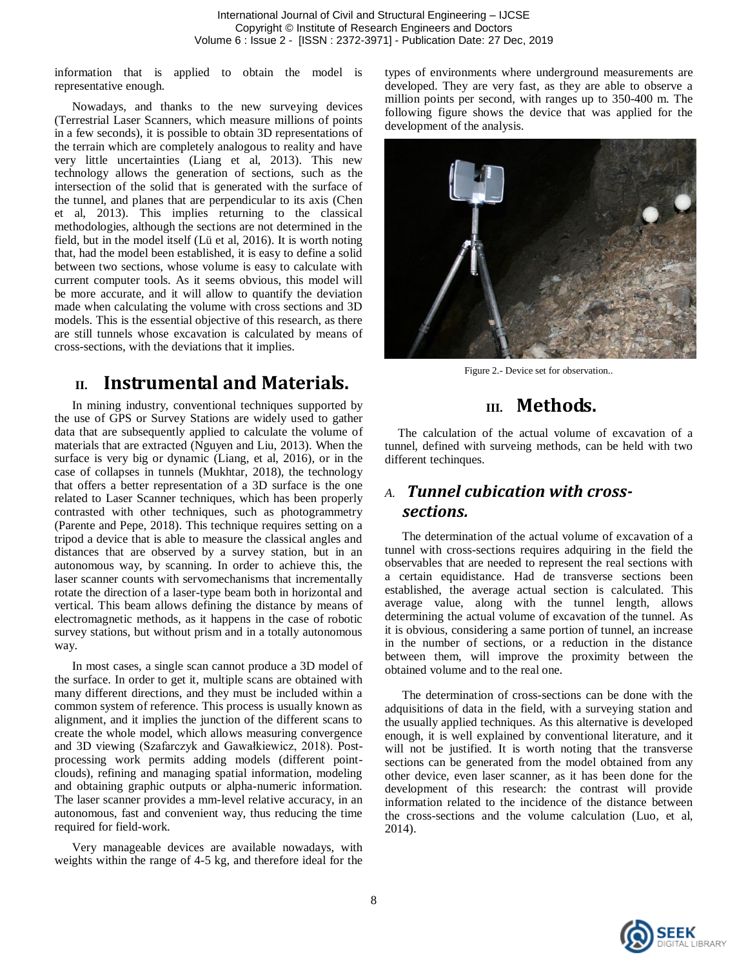information that is applied to obtain the model is representative enough.

Nowadays, and thanks to the new surveying devices (Terrestrial Laser Scanners, which measure millions of points in a few seconds), it is possible to obtain 3D representations of the terrain which are completely analogous to reality and have very little uncertainties (Liang et al, 2013). This new technology allows the generation of sections, such as the intersection of the solid that is generated with the surface of the tunnel, and planes that are perpendicular to its axis (Chen et al, 2013). This implies returning to the classical methodologies, although the sections are not determined in the field, but in the model itself (Lü et al, 2016). It is worth noting that, had the model been established, it is easy to define a solid between two sections, whose volume is easy to calculate with current computer tools. As it seems obvious, this model will be more accurate, and it will allow to quantify the deviation made when calculating the volume with cross sections and 3D models. This is the essential objective of this research, as there are still tunnels whose excavation is calculated by means of cross-sections, with the deviations that it implies.

# **II. Instrumental and Materials.**

In mining industry, conventional techniques supported by the use of GPS or Survey Stations are widely used to gather data that are subsequently applied to calculate the volume of materials that are extracted (Nguyen and Liu, 2013). When the surface is very big or dynamic (Liang, et al, 2016), or in the case of collapses in tunnels (Mukhtar, 2018), the technology that offers a better representation of a 3D surface is the one related to Laser Scanner techniques, which has been properly contrasted with other techniques, such as photogrammetry (Parente and Pepe, 2018). This technique requires setting on a tripod a device that is able to measure the classical angles and distances that are observed by a survey station, but in an autonomous way, by scanning. In order to achieve this, the laser scanner counts with servomechanisms that incrementally rotate the direction of a laser-type beam both in horizontal and vertical. This beam allows defining the distance by means of electromagnetic methods, as it happens in the case of robotic survey stations, but without prism and in a totally autonomous way.

In most cases, a single scan cannot produce a 3D model of the surface. In order to get it, multiple scans are obtained with many different directions, and they must be included within a common system of reference. This process is usually known as alignment, and it implies the junction of the different scans to create the whole model, which allows measuring convergence and 3D viewing (Szafarczyk and Gawałkiewicz, 2018). Postprocessing work permits adding models (different pointclouds), refining and managing spatial information, modeling and obtaining graphic outputs or alpha-numeric information. The laser scanner provides a mm-level relative accuracy, in an autonomous, fast and convenient way, thus reducing the time required for field-work.

Very manageable devices are available nowadays, with weights within the range of 4-5 kg, and therefore ideal for the types of environments where underground measurements are developed. They are very fast, as they are able to observe a million points per second, with ranges up to 350-400 m. The following figure shows the device that was applied for the development of the analysis.



Figure 2.- Device set for observation..

# **III. Methods.**

The calculation of the actual volume of excavation of a tunnel, defined with surveing methods, can be held with two different techinques.

## *A. Tunnel cubication with crosssections.*

The determination of the actual volume of excavation of a tunnel with cross-sections requires adquiring in the field the observables that are needed to represent the real sections with a certain equidistance. Had de transverse sections been established, the average actual section is calculated. This average value, along with the tunnel length, allows determining the actual volume of excavation of the tunnel. As it is obvious, considering a same portion of tunnel, an increase in the number of sections, or a reduction in the distance between them, will improve the proximity between the obtained volume and to the real one.

The determination of cross-sections can be done with the adquisitions of data in the field, with a surveying station and the usually applied techniques. As this alternative is developed enough, it is well explained by conventional literature, and it will not be justified. It is worth noting that the transverse sections can be generated from the model obtained from any other device, even laser scanner, as it has been done for the development of this research: the contrast will provide information related to the incidence of the distance between the cross-sections and the volume calculation (Luo, et al, 2014).

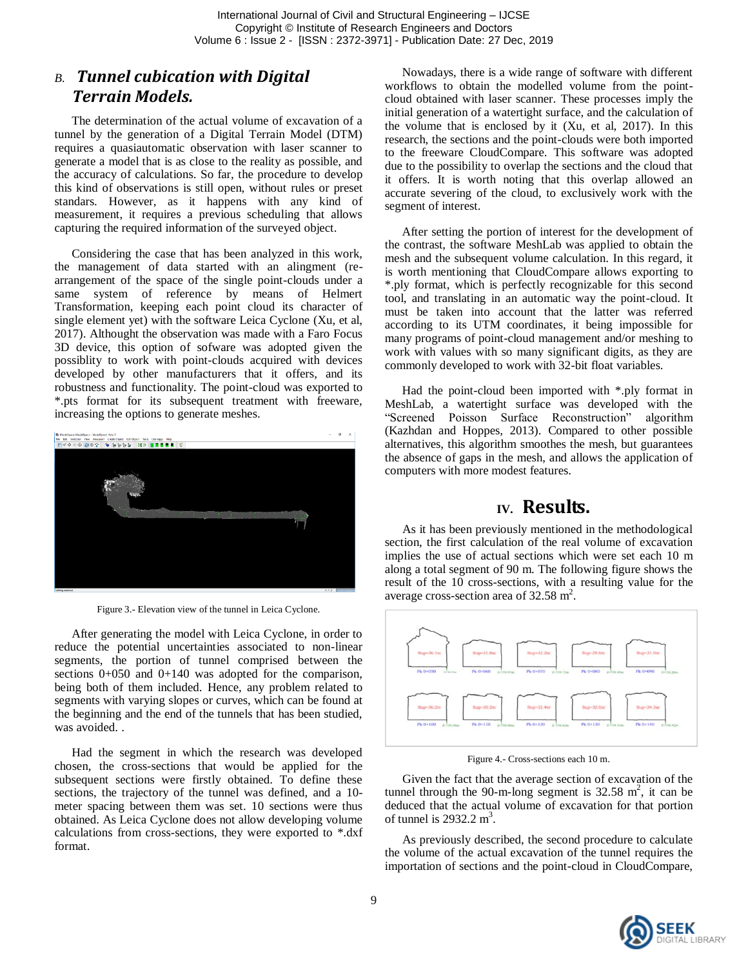## *B. Tunnel cubication with Digital Terrain Models.*

The determination of the actual volume of excavation of a tunnel by the generation of a Digital Terrain Model (DTM) requires a quasiautomatic observation with laser scanner to generate a model that is as close to the reality as possible, and the accuracy of calculations. So far, the procedure to develop this kind of observations is still open, without rules or preset standars. However, as it happens with any kind of measurement, it requires a previous scheduling that allows capturing the required information of the surveyed object.

Considering the case that has been analyzed in this work, the management of data started with an alingment (rearrangement of the space of the single point-clouds under a same system of reference by means of Helmert Transformation, keeping each point cloud its character of single element yet) with the software Leica Cyclone (Xu, et al, 2017). Althought the observation was made with a Faro Focus 3D device, this option of sofware was adopted given the possiblity to work with point-clouds acquired with devices developed by other manufacturers that it offers, and its robustness and functionality. The point-cloud was exported to \*.pts format for its subsequent treatment with freeware, increasing the options to generate meshes.



Figure 3.- Elevation view of the tunnel in Leica Cyclone.

After generating the model with Leica Cyclone, in order to reduce the potential uncertainties associated to non-linear segments, the portion of tunnel comprised between the sections 0+050 and 0+140 was adopted for the comparison, being both of them included. Hence, any problem related to segments with varying slopes or curves, which can be found at the beginning and the end of the tunnels that has been studied, was avoided. .

Had the segment in which the research was developed chosen, the cross-sections that would be applied for the subsequent sections were firstly obtained. To define these sections, the trajectory of the tunnel was defined, and a 10 meter spacing between them was set. 10 sections were thus obtained. As Leica Cyclone does not allow developing volume calculations from cross-sections, they were exported to \*.dxf format.

Nowadays, there is a wide range of software with different workflows to obtain the modelled volume from the pointcloud obtained with laser scanner. These processes imply the initial generation of a watertight surface, and the calculation of the volume that is enclosed by it (Xu, et al, 2017). In this research, the sections and the point-clouds were both imported to the freeware CloudCompare. This software was adopted due to the possibility to overlap the sections and the cloud that it offers. It is worth noting that this overlap allowed an accurate severing of the cloud, to exclusively work with the segment of interest.

After setting the portion of interest for the development of the contrast, the software MeshLab was applied to obtain the mesh and the subsequent volume calculation. In this regard, it is worth mentioning that CloudCompare allows exporting to \*.ply format, which is perfectly recognizable for this second tool, and translating in an automatic way the point-cloud. It must be taken into account that the latter was referred according to its UTM coordinates, it being impossible for many programs of point-cloud management and/or meshing to work with values with so many significant digits, as they are commonly developed to work with 32-bit float variables.

Had the point-cloud been imported with \*.ply format in MeshLab, a watertight surface was developed with the "Screened Poisson Surface Reconstruction" algorithm (Kazhdan and Hoppes, 2013). Compared to other possible alternatives, this algorithm smoothes the mesh, but guarantees the absence of gaps in the mesh, and allows the application of computers with more modest features.

## **IV. Results.**

As it has been previously mentioned in the methodological section, the first calculation of the real volume of excavation implies the use of actual sections which were set each 10 m along a total segment of 90 m. The following figure shows the result of the 10 cross-sections, with a resulting value for the average cross-section area of  $32.58$  m<sup>2</sup>.



Figure 4.- Cross-sections each 10 m.

Given the fact that the average section of excavation of the tunnel through the 90-m-long segment is  $32.58 \text{ m}^2$ , it can be deduced that the actual volume of excavation for that portion of tunnel is 2932.2 m<sup>3</sup>.

As previously described, the second procedure to calculate the volume of the actual excavation of the tunnel requires the importation of sections and the point-cloud in CloudCompare,

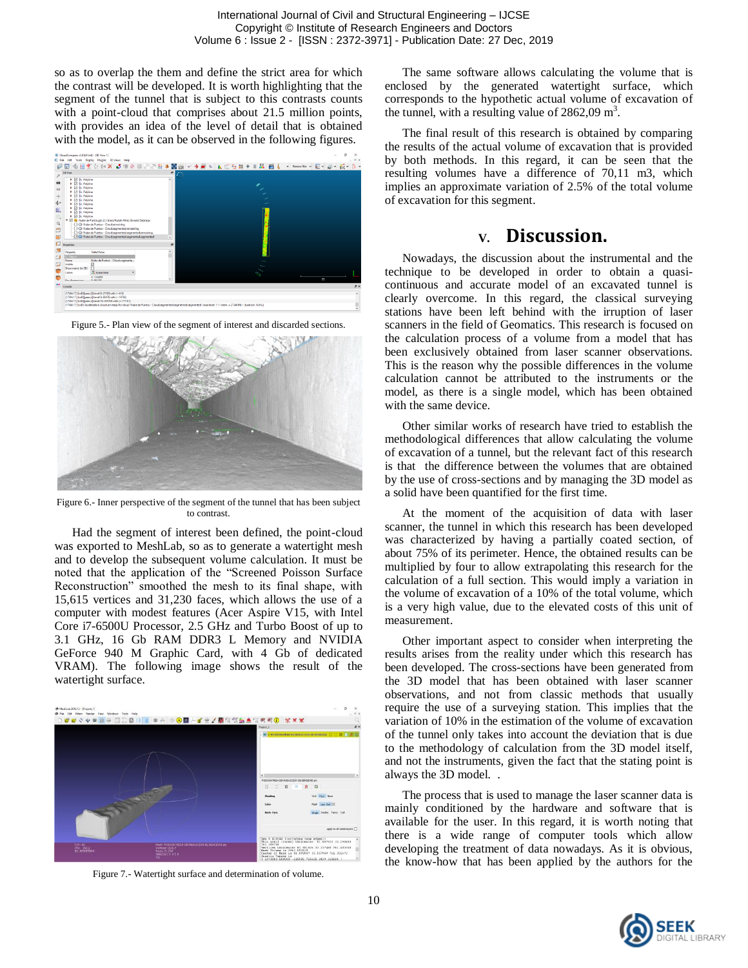so as to overlap the them and define the strict area for which the contrast will be developed. It is worth highlighting that the segment of the tunnel that is subject to this contrasts counts with a point-cloud that comprises about 21.5 million points, with provides an idea of the level of detail that is obtained with the model, as it can be observed in the following figures.







Figure 6.- Inner perspective of the segment of the tunnel that has been subject to contrast.

Had the segment of interest been defined, the point-cloud was exported to MeshLab, so as to generate a watertight mesh and to develop the subsequent volume calculation. It must be noted that the application of the "Screened Poisson Surface Reconstruction" smoothed the mesh to its final shape, with 15,615 vertices and 31,230 faces, which allows the use of a computer with modest features (Acer Aspire V15, with Intel Core i7-6500U Processor, 2.5 GHz and Turbo Boost of up to 3.1 GHz, 16 Gb RAM DDR3 L Memory and NVIDIA GeForce 940 M Graphic Card, with 4 Gb of dedicated VRAM). The following image shows the result of the watertight surface.



Figure 7.- Watertight surface and determination of volume.

The same software allows calculating the volume that is enclosed by the generated watertight surface, which corresponds to the hypothetic actual volume of excavation of the tunnel, with a resulting value of  $2862,09 \text{ m}^3$ .

The final result of this research is obtained by comparing the results of the actual volume of excavation that is provided by both methods. In this regard, it can be seen that the resulting volumes have a difference of 70,11 m3, which implies an approximate variation of 2.5% of the total volume of excavation for this segment.

## **V. Discussion.**

Nowadays, the discussion about the instrumental and the technique to be developed in order to obtain a quasicontinuous and accurate model of an excavated tunnel is clearly overcome. In this regard, the classical surveying stations have been left behind with the irruption of laser scanners in the field of Geomatics. This research is focused on the calculation process of a volume from a model that has been exclusively obtained from laser scanner observations. This is the reason why the possible differences in the volume calculation cannot be attributed to the instruments or the model, as there is a single model, which has been obtained with the same device.

Other similar works of research have tried to establish the methodological differences that allow calculating the volume of excavation of a tunnel, but the relevant fact of this research is that the difference between the volumes that are obtained by the use of cross-sections and by managing the 3D model as a solid have been quantified for the first time.

At the moment of the acquisition of data with laser scanner, the tunnel in which this research has been developed was characterized by having a partially coated section, of about 75% of its perimeter. Hence, the obtained results can be multiplied by four to allow extrapolating this research for the calculation of a full section. This would imply a variation in the volume of excavation of a 10% of the total volume, which is a very high value, due to the elevated costs of this unit of measurement.

Other important aspect to consider when interpreting the results arises from the reality under which this research has been developed. The cross-sections have been generated from the 3D model that has been obtained with laser scanner observations, and not from classic methods that usually require the use of a surveying station. This implies that the variation of 10% in the estimation of the volume of excavation of the tunnel only takes into account the deviation that is due to the methodology of calculation from the 3D model itself, and not the instruments, given the fact that the stating point is always the 3D model. .

The process that is used to manage the laser scanner data is mainly conditioned by the hardware and software that is available for the user. In this regard, it is worth noting that there is a wide range of computer tools which allow developing the treatment of data nowadays. As it is obvious, the know-how that has been applied by the authors for the